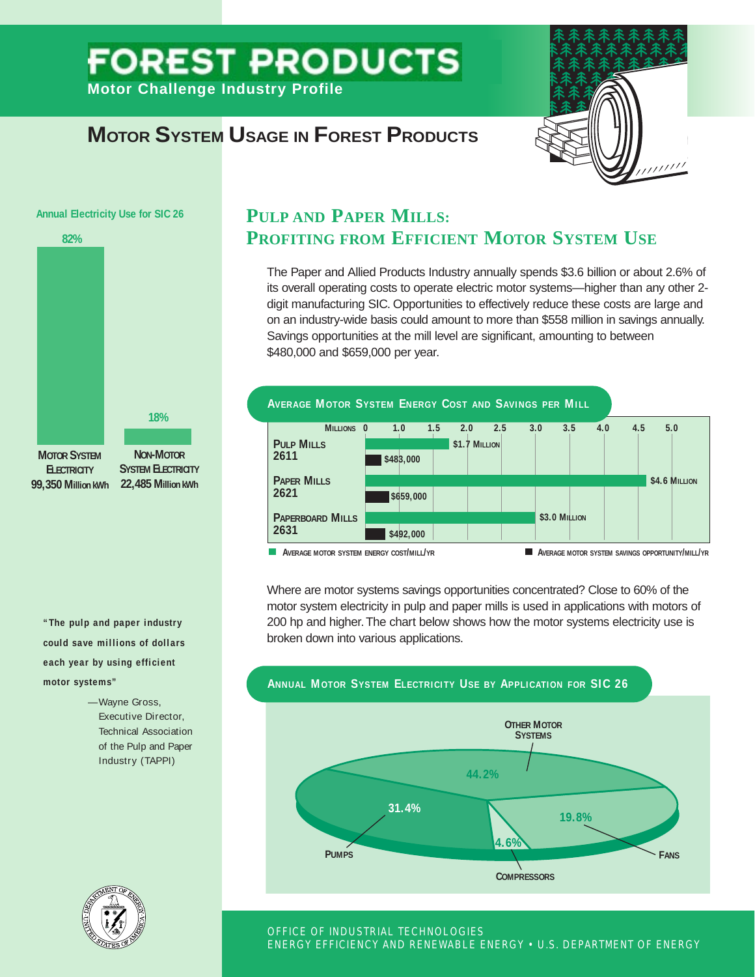# **FOREST PRODUCTS Motor Challenge Industry Profile**

**MOTOR SYSTEM USAGE IN FOREST PRODUCTS** 



#### **Annual Electricity Use for SIC 26**



**"The pulp and paper industry could save millions of dollars each year by using efficient motor systems"**

> —Wayne Gross, Executive Director, Technical Association of the Pulp and Paper Industry (TAPPI)

## **PULP AND PAPER MILLS: PROFITING FROM EFFICIENT MOTOR SYSTEM USE**

The Paper and Allied Products Industry annually spends \$3.6 billion or about 2.6% of its overall operating costs to operate electric motor systems—higher than any other 2 digit manufacturing SIC. Opportunities to effectively reduce these costs are large and on an industry-wide basis could amount to more than \$558 million in savings annually. Savings opportunities at the mill level are significant, amounting to between \$480,000 and \$659,000 per year.



Where are motor systems savings opportunities concentrated? Close to 60% of the motor system electricity in pulp and paper mills is used in applications with motors of 200 hp and higher. The chart below shows how the motor systems electricity use is broken down into various applications.





#### OFFICE OF INDUSTRIAL TECHNOLOGIES ENERGY EFFICIENCY AND RENEWABLE ENERGY • U.S. DEPARTMENT OF ENERGY